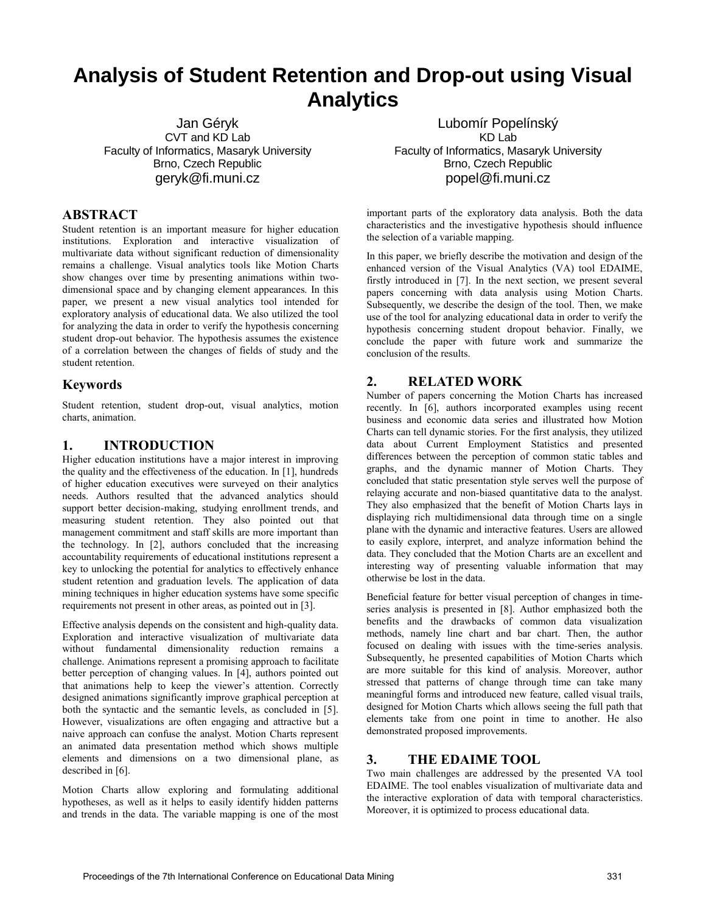# **Analysis of Student Retention and Drop-out using Visual Analytics**

Jan Géryk CVT and KD Lab Faculty of Informatics, Masaryk University Brno, Czech Republic geryk@fi.muni.cz

#### **ABSTRACT**

Student retention is an important measure for higher education institutions. Exploration and interactive visualization of multivariate data without significant reduction of dimensionality remains a challenge. Visual analytics tools like Motion Charts show changes over time by presenting animations within twodimensional space and by changing element appearances. In this paper, we present a new visual analytics tool intended for exploratory analysis of educational data. We also utilized the tool for analyzing the data in order to verify the hypothesis concerning student drop-out behavior. The hypothesis assumes the existence of a correlation between the changes of fields of study and the student retention.

#### **Keywords**

Student retention, student drop-out, visual analytics, motion charts, animation.

## **1. INTRODUCTION**

Higher education institutions have a major interest in improving the quality and the effectiveness of the education. In [1], hundreds of higher education executives were surveyed on their analytics needs. Authors resulted that the advanced analytics should support better decision-making, studying enrollment trends, and measuring student retention. They also pointed out that management commitment and staff skills are more important than the technology. In [2], authors concluded that the increasing accountability requirements of educational institutions represent a key to unlocking the potential for analytics to effectively enhance student retention and graduation levels. The application of data mining techniques in higher education systems have some specific requirements not present in other areas, as pointed out in [3].

Effective analysis depends on the consistent and high-quality data. Exploration and interactive visualization of multivariate data without fundamental dimensionality reduction remains a challenge. Animations represent a promising approach to facilitate better perception of changing values. In [4], authors pointed out that animations help to keep the viewer's attention. Correctly designed animations significantly improve graphical perception at both the syntactic and the semantic levels, as concluded in [5]. However, visualizations are often engaging and attractive but a naive approach can confuse the analyst. Motion Charts represent an animated data presentation method which shows multiple elements and dimensions on a two dimensional plane, as described in [6].

Motion Charts allow exploring and formulating additional hypotheses, as well as it helps to easily identify hidden patterns and trends in the data. The variable mapping is one of the most

Lubomír Popelínský KD Lab Faculty of Informatics, Masaryk University Brno, Czech Republic popel@fi.muni.cz

important parts of the exploratory data analysis. Both the data characteristics and the investigative hypothesis should influence the selection of a variable mapping.

In this paper, we briefly describe the motivation and design of the enhanced version of the Visual Analytics (VA) tool EDAIME, firstly introduced in [7]. In the next section, we present several papers concerning with data analysis using Motion Charts. Subsequently, we describe the design of the tool. Then, we make use of the tool for analyzing educational data in order to verify the hypothesis concerning student dropout behavior. Finally, we conclude the paper with future work and summarize the conclusion of the results.

# **2. RELATED WORK**

Number of papers concerning the Motion Charts has increased recently. In [6], authors incorporated examples using recent business and economic data series and illustrated how Motion Charts can tell dynamic stories. For the first analysis, they utilized data about Current Employment Statistics and presented differences between the perception of common static tables and graphs, and the dynamic manner of Motion Charts. They concluded that static presentation style serves well the purpose of relaying accurate and non-biased quantitative data to the analyst. They also emphasized that the benefit of Motion Charts lays in displaying rich multidimensional data through time on a single plane with the dynamic and interactive features. Users are allowed to easily explore, interpret, and analyze information behind the data. They concluded that the Motion Charts are an excellent and interesting way of presenting valuable information that may otherwise be lost in the data.

Beneficial feature for better visual perception of changes in timeseries analysis is presented in [8]. Author emphasized both the benefits and the drawbacks of common data visualization methods, namely line chart and bar chart. Then, the author focused on dealing with issues with the time-series analysis. Subsequently, he presented capabilities of Motion Charts which are more suitable for this kind of analysis. Moreover, author stressed that patterns of change through time can take many meaningful forms and introduced new feature, called visual trails, designed for Motion Charts which allows seeing the full path that elements take from one point in time to another. He also demonstrated proposed improvements.

## **3. THE EDAIME TOOL**

Two main challenges are addressed by the presented VA tool EDAIME. The tool enables visualization of multivariate data and the interactive exploration of data with temporal characteristics. Moreover, it is optimized to process educational data.